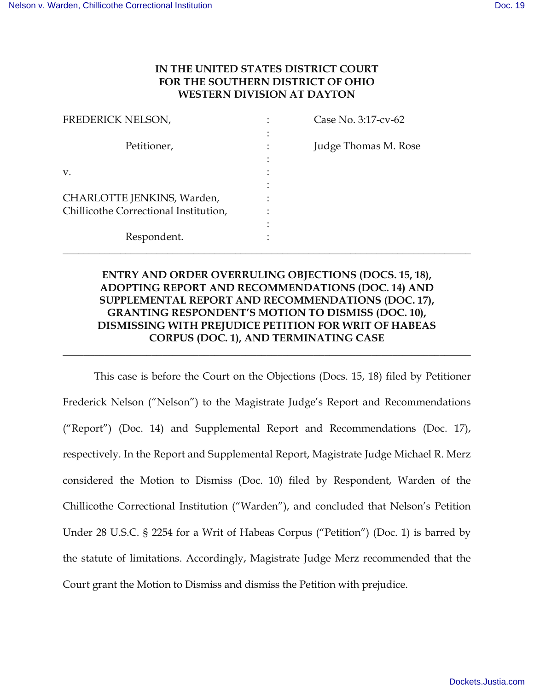## **IN THE UNITED STATES DISTRICT COURT FOR THE SOUTHERN DISTRICT OF OHIO WESTERN DIVISION AT DAYTON**

| FREDERICK NELSON,                     | Case No. 3:17-cv-62  |
|---------------------------------------|----------------------|
|                                       |                      |
| Petitioner,                           | Judge Thomas M. Rose |
|                                       |                      |
| V.                                    |                      |
|                                       |                      |
| CHARLOTTE JENKINS, Warden,            |                      |
| Chillicothe Correctional Institution, |                      |
|                                       |                      |
| Respondent.                           |                      |
|                                       |                      |

## **ENTRY AND ORDER OVERRULING OBJECTIONS (DOCS. 15, 18), ADOPTING REPORT AND RECOMMENDATIONS (DOC. 14) AND SUPPLEMENTAL REPORT AND RECOMMENDATIONS (DOC. 17), GRANTING RESPONDENT'S MOTION TO DISMISS (DOC. 10), DISMISSING WITH PREJUDICE PETITION FOR WRIT OF HABEAS CORPUS (DOC. 1), AND TERMINATING CASE**

**\_\_\_\_\_\_\_\_\_\_\_\_\_\_\_\_\_\_\_\_\_\_\_\_\_\_\_\_\_\_\_\_\_\_\_\_\_\_\_\_\_\_\_\_\_\_\_\_\_\_\_\_\_\_\_\_\_\_\_\_\_\_\_\_\_\_\_\_\_\_\_\_\_\_\_\_\_\_** 

This case is before the Court on the Objections (Docs. 15, 18) filed by Petitioner Frederick Nelson ("Nelson") to the Magistrate Judge's Report and Recommendations ("Report") (Doc. 14) and Supplemental Report and Recommendations (Doc. 17), respectively. In the Report and Supplemental Report, Magistrate Judge Michael R. Merz considered the Motion to Dismiss (Doc. 10) filed by Respondent, Warden of the Chillicothe Correctional Institution ("Warden"), and concluded that Nelson's Petition Under 28 U.S.C. § 2254 for a Writ of Habeas Corpus ("Petition") (Doc. 1) is barred by the statute of limitations. Accordingly, Magistrate Judge Merz recommended that the Court grant the Motion to Dismiss and dismiss the Petition with prejudice.